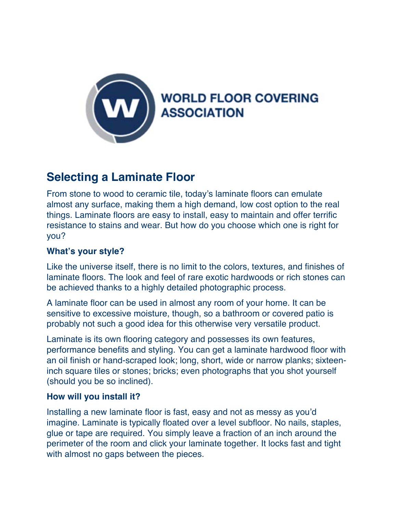

# **Selecting a Laminate Floor**

From stone to wood to ceramic tile, today's laminate floors can emulate almost any surface, making them a high demand, low cost option to the real things. Laminate floors are easy to install, easy to maintain and offer terrific resistance to stains and wear. But how do you choose which one is right for you?

# **What's your style?**

Like the universe itself, there is no limit to the colors, textures, and finishes of laminate floors. The look and feel of rare exotic hardwoods or rich stones can be achieved thanks to a highly detailed photographic process.

A laminate floor can be used in almost any room of your home. It can be sensitive to excessive moisture, though, so a bathroom or covered patio is probably not such a good idea for this otherwise very versatile product.

Laminate is its own flooring category and possesses its own features, performance benefits and styling. You can get a laminate hardwood floor with an oil finish or hand-scraped look; long, short, wide or narrow planks; sixteeninch square tiles or stones; bricks; even photographs that you shot yourself (should you be so inclined).

## **How will you install it?**

Installing a new laminate floor is fast, easy and not as messy as you'd imagine. Laminate is typically floated over a level subfloor. No nails, staples, glue or tape are required. You simply leave a fraction of an inch around the perimeter of the room and click your laminate together. It locks fast and tight with almost no gaps between the pieces.